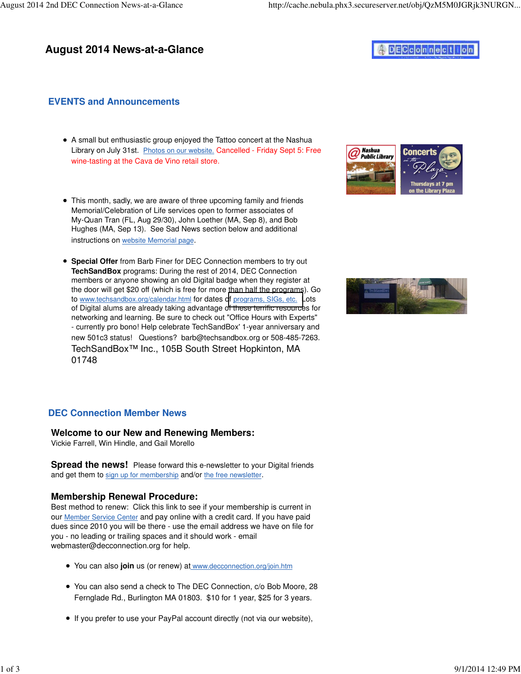## **August 2014 News-at-a-Glance**

# DECconnection

## **EVENTS and Announcements**

- A small but enthusiastic group enjoyed the Tattoo concert at the Nashua Library on July 31st. Photos on our website. Cancelled - Friday Sept 5: Free wine-tasting at the Cava de Vino retail store.
- This month, sadly, we are aware of three upcoming family and friends Memorial/Celebration of Life services open to former associates of My-Quan Tran (FL, Aug 29/30), John Loether (MA, Sep 8), and Bob Hughes (MA, Sep 13). See Sad News section below and additional instructions on website Memorial page.
- **Special Offer** from Barb Finer for DEC Connection members to try out **TechSandBox** programs: During the rest of 2014, DEC Connection members or anyone showing an old Digital badge when they register at the door will get \$20 off (which is free for more than half the programs). Go to [www.techsandbox.org/calendar.html](http://www.techsandbox.org/calendar.html) for dates of [programs, SIGs, etc.](http://www.techsandbox.org/Programs-and-Workshops.html) Lots of Digital alums are already taking advantage of these terrific resources for networking and learning. Be sure to check out "Office Hours with Experts" - currently pro bono! Help celebrate TechSandBox' 1-year anniversary and new 501c3 status! Questions? [barb@techsandbox.org or](mailto:barb@techsandbox.org) 508-485-7263. TechSandBox™ Inc., 105B South Street Hopkinton, MA 01748





## **DEC Connection Member News**

#### **Welcome to our New and Renewing Members:**

Vickie Farrell, Win Hindle, and Gail Morello

**Spread the news!** Please forward this e-newsletter to your Digital friends and get them to sign up for membership and/or the free newsletter.

#### **Membership Renewal Procedure:**

Best method to renew: Click this link to see if your membership is current in our Member Service Center and pay online with a credit card. If you have paid dues since 2010 you will be there - use the email address we have on file for you - no leading or trailing spaces and it should work - email [webmaster@decconnection.org fo](mailto:webmaster@decconnection.org)r help.

- You can also **join** us (or renew) at [www.decconnection.org/join.htm](http://www.decconnection.org/join.htm)
- You can also send a check to The DEC Connection, c/o Bob Moore, 28 Fernglade Rd., Burlington MA 01803. \$10 for 1 year, \$25 for 3 years.
- If you prefer to use your PayPal account directly (not via our website),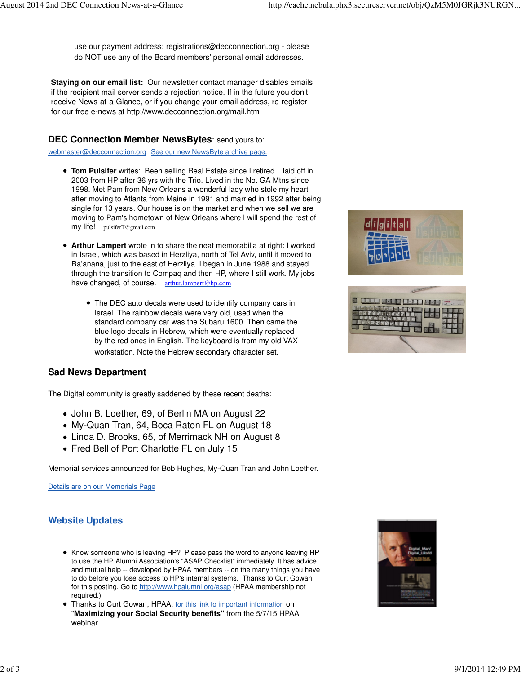use our payment address: [registrations@decconnection.org - p](mailto:registrations@decconnection.org)lease do NOT use any of the Board members' personal email addresses.

**Staying on our email list:** Our newsletter contact manager disables emails if the recipient mail server sends a rejection notice. If in the future you don't receive News-at-a-Glance, or if you change your email address, re-register for our free e-news at<http://www.decconnection.org/mail.htm>

### **DEC Connection Member NewsBytes**: send yours to:

[webmaster@decconnection.org](mailto:webmaster@decconnection.org) See our new NewsByte archive page.

- **Tom Pulsifer** writes: Been selling Real Estate since I retired... laid off in 2003 from HP after 36 yrs with the Trio. Lived in the No. GA Mtns since 1998. Met Pam from New Orleans a wonderful lady who stole my heart after moving to Atlanta from Maine in 1991 and married in 1992 after being single for 13 years. Our house is on the market and when we sell we are moving to Pam's hometown of New Orleans where I will spend the rest of my life! [pulsiferT@gmail.com](mailto:pulsiferT@gmail.com)
- **Arthur Lampert** wrote in to share the neat memorabilia at right: I worked in Israel, which was based in Herzliya, north of Tel Aviv, until it moved to Ra'anana, just to the east of Herzliya. I began in June 1988 and stayed through the transition to Compaq and then HP, where I still work. My jobs have changed, of course. arthur.[lampert@hp.com](mailto:lampert@hp.com)
	- The DEC auto decals were used to identify company cars in Israel. The rainbow decals were very old, used when the standard company car was the Subaru 1600. Then came the blue logo decals in Hebrew, which were eventually replaced by the red ones in English. The keyboard is from my old VAX workstation. Note the Hebrew secondary character set.

## **Sad News Department**

The Digital community is greatly saddened by these recent deaths:

- John B. Loether, 69, of Berlin MA on August 22
- My-Quan Tran, 64, Boca Raton FL on August 18
- Linda D. Brooks, 65, of Merrimack NH on August 8
- Fred Bell of Port Charlotte FL on July 15

Memorial services announced for Bob Hughes, My-Quan Tran and John Loether.

Details are on our Memorials Page

## **Website Updates**

- Know someone who is leaving HP? Please pass the word to anyone leaving HP to use the HP Alumni Association's "ASAP Checklist" immediately. It has advice and mutual help -- developed by HPAA members -- on the many things you have to do before you lose access to HP's internal systems. Thanks to Curt Gowan for this posting. Go to [http://www.hpalumni.org/asap \(H](http://www.hpalumni.org/asap)PAA membership not required.)
- Thanks to Curt Gowan, HPAA, for this link to important information on "**Maximizing your Social Security benefits"** from the 5/7/15 HPAA webinar.